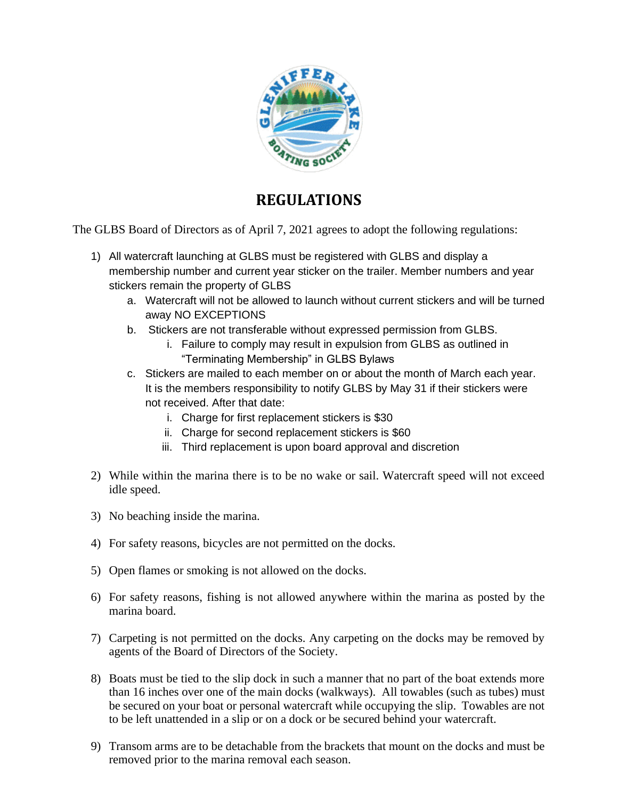

## **REGULATIONS**

The GLBS Board of Directors as of April 7, 2021 agrees to adopt the following regulations:

- 1) All watercraft launching at GLBS must be registered with GLBS and display a membership number and current year sticker on the trailer. Member numbers and year stickers remain the property of GLBS
	- a. Watercraft will not be allowed to launch without current stickers and will be turned away NO EXCEPTIONS
	- b. Stickers are not transferable without expressed permission from GLBS.
		- i. Failure to comply may result in expulsion from GLBS as outlined in "Terminating Membership" in GLBS Bylaws
	- c. Stickers are mailed to each member on or about the month of March each year. It is the members responsibility to notify GLBS by May 31 if their stickers were not received. After that date:
		- i. Charge for first replacement stickers is \$30
		- ii. Charge for second replacement stickers is \$60
		- iii. Third replacement is upon board approval and discretion
- 2) While within the marina there is to be no wake or sail. Watercraft speed will not exceed idle speed.
- 3) No beaching inside the marina.
- 4) For safety reasons, bicycles are not permitted on the docks.
- 5) Open flames or smoking is not allowed on the docks.
- 6) For safety reasons, fishing is not allowed anywhere within the marina as posted by the marina board.
- 7) Carpeting is not permitted on the docks. Any carpeting on the docks may be removed by agents of the Board of Directors of the Society.
- 8) Boats must be tied to the slip dock in such a manner that no part of the boat extends more than 16 inches over one of the main docks (walkways). All towables (such as tubes) must be secured on your boat or personal watercraft while occupying the slip. Towables are not to be left unattended in a slip or on a dock or be secured behind your watercraft.
- 9) Transom arms are to be detachable from the brackets that mount on the docks and must be removed prior to the marina removal each season.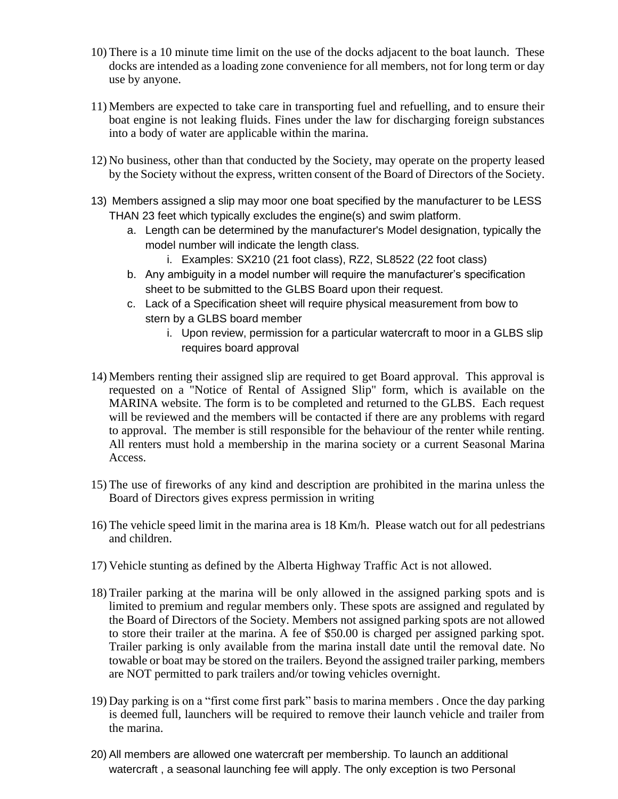- 10) There is a 10 minute time limit on the use of the docks adjacent to the boat launch. These docks are intended as a loading zone convenience for all members, not for long term or day use by anyone.
- 11) Members are expected to take care in transporting fuel and refuelling, and to ensure their boat engine is not leaking fluids. Fines under the law for discharging foreign substances into a body of water are applicable within the marina.
- 12) No business, other than that conducted by the Society, may operate on the property leased by the Society without the express, written consent of the Board of Directors of the Society.
- 13) Members assigned a slip may moor one boat specified by the manufacturer to be LESS THAN 23 feet which typically excludes the engine(s) and swim platform.
	- a. Length can be determined by the manufacturer's Model designation, typically the model number will indicate the length class.
		- i. Examples: SX210 (21 foot class), RZ2, SL8522 (22 foot class)
	- b. Any ambiguity in a model number will require the manufacturer's specification sheet to be submitted to the GLBS Board upon their request.
	- c. Lack of a Specification sheet will require physical measurement from bow to stern by a GLBS board member
		- i. Upon review, permission for a particular watercraft to moor in a GLBS slip requires board approval
- 14) Members renting their assigned slip are required to get Board approval. This approval is requested on a "Notice of Rental of Assigned Slip" form, which is available on the MARINA website. The form is to be completed and returned to the GLBS. Each request will be reviewed and the members will be contacted if there are any problems with regard to approval. The member is still responsible for the behaviour of the renter while renting. All renters must hold a membership in the marina society or a current Seasonal Marina Access.
- 15) The use of fireworks of any kind and description are prohibited in the marina unless the Board of Directors gives express permission in writing
- 16) The vehicle speed limit in the marina area is 18 Km/h. Please watch out for all pedestrians and children.
- 17) Vehicle stunting as defined by the Alberta Highway Traffic Act is not allowed.
- 18) Trailer parking at the marina will be only allowed in the assigned parking spots and is limited to premium and regular members only. These spots are assigned and regulated by the Board of Directors of the Society. Members not assigned parking spots are not allowed to store their trailer at the marina. A fee of \$50.00 is charged per assigned parking spot. Trailer parking is only available from the marina install date until the removal date. No towable or boat may be stored on the trailers. Beyond the assigned trailer parking, members are NOT permitted to park trailers and/or towing vehicles overnight.
- 19) Day parking is on a "first come first park" basis to marina members . Once the day parking is deemed full, launchers will be required to remove their launch vehicle and trailer from the marina.
- 20) All members are allowed one watercraft per membership. To launch an additional watercraft , a seasonal launching fee will apply. The only exception is two Personal